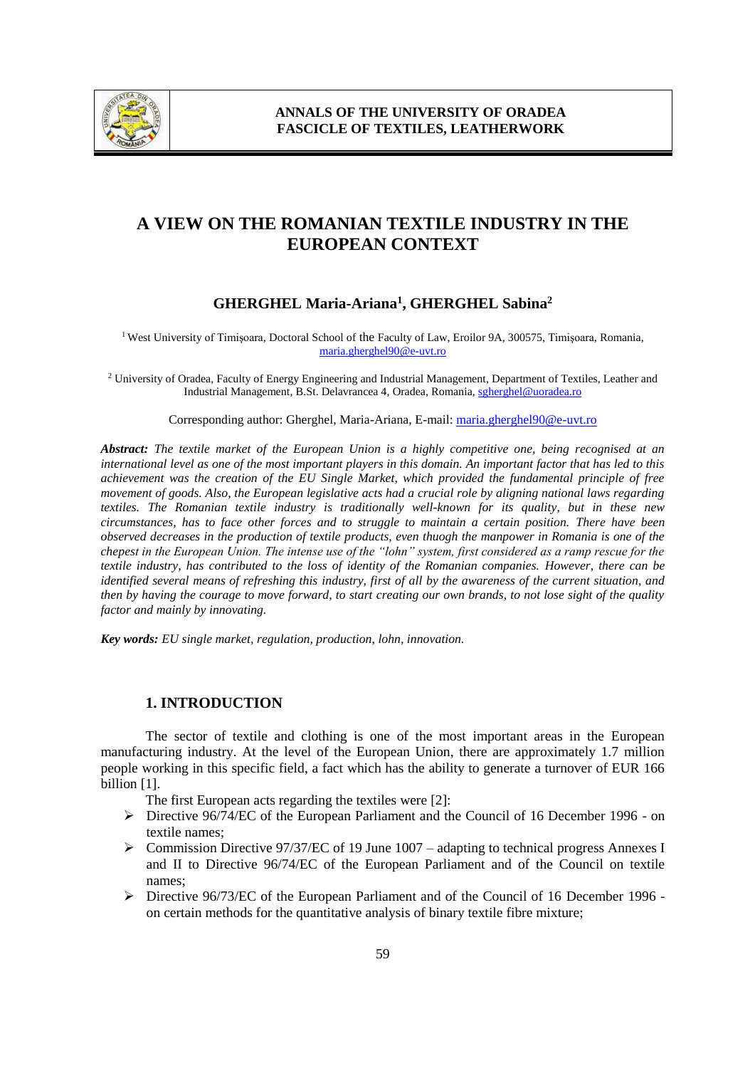

# **A VIEW ON THE ROMANIAN TEXTILE INDUSTRY IN THE EUROPEAN CONTEXT**

## **GHERGHEL Maria-Ariana<sup>1</sup> , GHERGHEL Sabina<sup>2</sup>**

<sup>1</sup> West University of Timișoara, Doctoral School of the Faculty of Law, Eroilor 9A, 300575, Timișoara, Romania, maria.gherghel90@e-uvt.ro

<sup>2</sup> University of Oradea, Faculty of Energy Engineering and Industrial Management, Department of Textiles, Leather and Industrial Management, B.St. Delavrancea 4, Oradea, Romania, sgherghel@uoradea.ro

Corresponding author: Gherghel, Maria-Ariana, E-mail: maria.gherghel90@e-uvt.ro

*Abstract: The textile market of the European Union is a highly competitive one, being recognised at an international level as one of the most important players in this domain. An important factor that has led to this achievement was the creation of the EU Single Market, which provided the fundamental principle of free movement of goods. Also, the European legislative acts had a crucial role by aligning national laws regarding textiles. The Romanian textile industry is traditionally well-known for its quality, but in these new circumstances, has to face other forces and to struggle to maintain a certain position. There have been observed decreases in the production of textile products, even thuogh the manpower in Romania is one of the chepest in the European Union. The intense use of the "lohn" system, first considered as a ramp rescue for the textile industry, has contributed to the loss of identity of the Romanian companies. However, there can be identified several means of refreshing this industry, first of all by the awareness of the current situation, and then by having the courage to move forward, to start creating our own brands, to not lose sight of the quality factor and mainly by innovating.* 

*Key words: EU single market, regulation, production, lohn, innovation.*

#### **1. INTRODUCTION**

The sector of textile and clothing is one of the most important areas in the European manufacturing industry. At the level of the European Union, there are approximately 1.7 million people working in this specific field, a fact which has the ability to generate a turnover of EUR 166 billion [1].

The first European acts regarding the textiles were [2]:

- Directive 96/74/EC of the European Parliament and the Council of 16 December 1996 on textile names;
- $\triangleright$  Commission Directive 97/37/EC of 19 June 1007 adapting to technical progress Annexes I and II to Directive 96/74/EC of the European Parliament and of the Council on textile names;
- $\triangleright$  Directive 96/73/EC of the European Parliament and of the Council of 16 December 1996 on certain methods for the quantitative analysis of binary textile fibre mixture;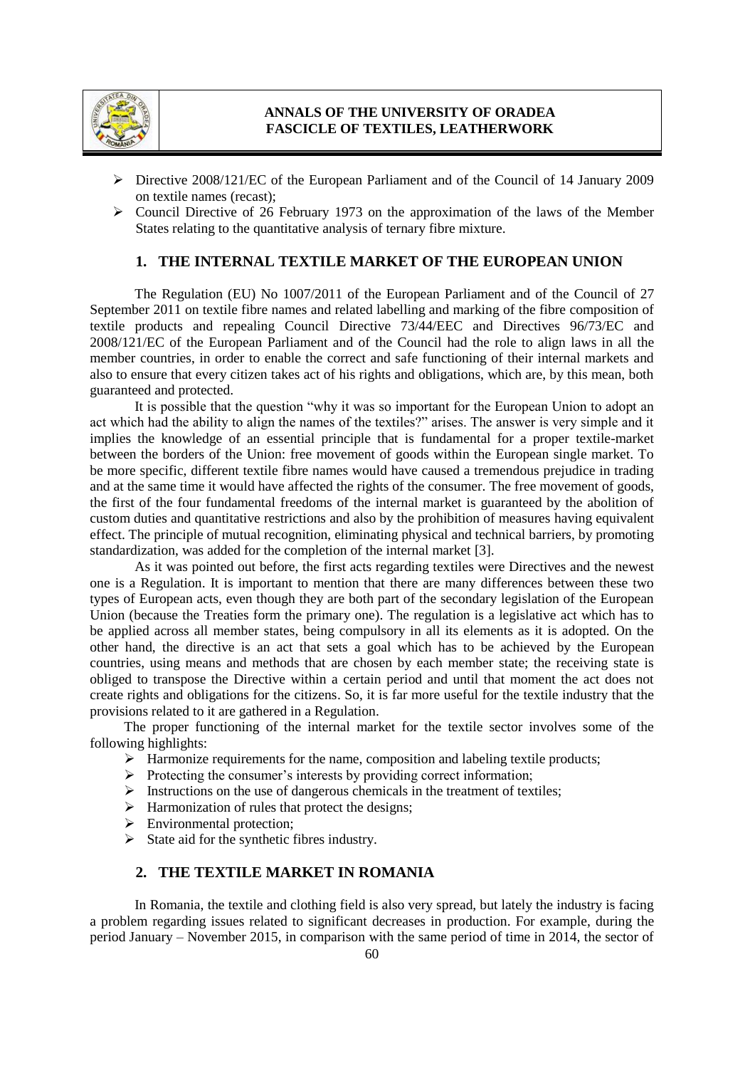

## **ANNALS OF THE UNIVERSITY OF ORADEA FASCICLE OF TEXTILES, LEATHERWORK**

- $\triangleright$  Directive 2008/121/EC of the European Parliament and of the Council of 14 January 2009 on textile names (recast);
- $\triangleright$  Council Directive of 26 February 1973 on the approximation of the laws of the Member States relating to the quantitative analysis of ternary fibre mixture.

## **1. THE INTERNAL TEXTILE MARKET OF THE EUROPEAN UNION**

The Regulation (EU) No 1007/2011 of the European Parliament and of the Council of 27 September 2011 on textile fibre names and related labelling and marking of the fibre composition of textile products and repealing Council Directive 73/44/EEC and Directives 96/73/EC and 2008/121/EC of the European Parliament and of the Council had the role to align laws in all the member countries, in order to enable the correct and safe functioning of their internal markets and also to ensure that every citizen takes act of his rights and obligations, which are, by this mean, both guaranteed and protected.

It is possible that the question "why it was so important for the European Union to adopt an act which had the ability to align the names of the textiles?" arises. The answer is very simple and it implies the knowledge of an essential principle that is fundamental for a proper textile-market between the borders of the Union: free movement of goods within the European single market. To be more specific, different textile fibre names would have caused a tremendous prejudice in trading and at the same time it would have affected the rights of the consumer. The free movement of goods, the first of the four fundamental freedoms of the internal market is guaranteed by the abolition of custom duties and quantitative restrictions and also by the prohibition of measures having equivalent effect. The principle of mutual recognition, eliminating physical and technical barriers, by promoting standardization, was added for the completion of the internal market [3].

As it was pointed out before, the first acts regarding textiles were Directives and the newest one is a Regulation. It is important to mention that there are many differences between these two types of European acts, even though they are both part of the secondary legislation of the European Union (because the Treaties form the primary one). The regulation is a legislative act which has to be applied across all member states, being compulsory in all its elements as it is adopted. On the other hand, the directive is an act that sets a goal which has to be achieved by the European countries, using means and methods that are chosen by each member state; the receiving state is obliged to transpose the Directive within a certain period and until that moment the act does not create rights and obligations for the citizens. So, it is far more useful for the textile industry that the provisions related to it are gathered in a Regulation.

The proper functioning of the internal market for the textile sector involves some of the following highlights:

- $\triangleright$  Harmonize requirements for the name, composition and labeling textile products;
- $\triangleright$  Protecting the consumer's interests by providing correct information;
- $\triangleright$  Instructions on the use of dangerous chemicals in the treatment of textiles;
- $\triangleright$  Harmonization of rules that protect the designs;
- > Environmental protection;
- $\triangleright$  State aid for the synthetic fibres industry.

#### **2. THE TEXTILE MARKET IN ROMANIA**

In Romania, the textile and clothing field is also very spread, but lately the industry is facing a problem regarding issues related to significant decreases in production. For example, during the period January – November 2015, in comparison with the same period of time in 2014, the sector of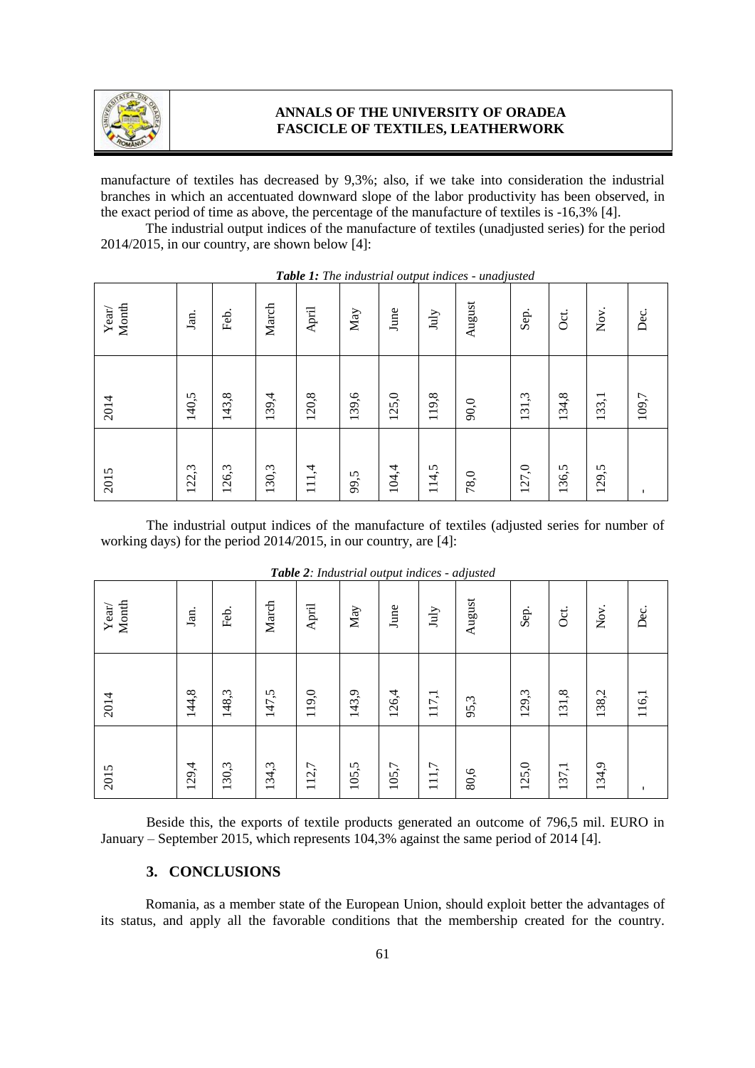

#### **ANNALS OF THE UNIVERSITY OF ORADEA FASCICLE OF TEXTILES, LEATHERWORK**

manufacture of textiles has decreased by 9,3%; also, if we take into consideration the industrial branches in which an accentuated downward slope of the labor productivity has been observed, in the exact period of time as above, the percentage of the manufacture of textiles is -16,3% [4].

The industrial output indices of the manufacture of textiles (unadjusted series) for the period 2014/2015, in our country, are shown below [4]:

| Month<br>$\mathbf{Year}/$ | Jan.  | Feb.  | March | April  | $_{\mathrm{May}}$ | June  | $\mathbf{July}$ | - 7<br>August | Sep.  | Oct.  | Nov.  | Dec.  |
|---------------------------|-------|-------|-------|--------|-------------------|-------|-----------------|---------------|-------|-------|-------|-------|
| 2014                      | 140,5 | 143,8 | 139,4 | 120, 8 | 139,6             | 125,0 | 119,8           | 90,0          | 131,3 | 134,8 | 133,1 | 109,7 |
| 2015                      | 122,3 | 126,3 | 130,3 | 111,4  | 99,5              | 104,4 | 114,5           | 78,0          | 127,0 | 136,5 | 129,5 |       |

|  |  | <b>Table 1:</b> The industrial output indices - unadjusted |  |
|--|--|------------------------------------------------------------|--|
|--|--|------------------------------------------------------------|--|

The industrial output indices of the manufacture of textiles (adjusted series for number of working days) for the period 2014/2015, in our country, are [4]:

| 2015  | 2014  | Month<br>$\mathbf{Year}/$            |
|-------|-------|--------------------------------------|
| 129,4 | 144,8 | Jan.                                 |
| 130,3 | 148,3 | Feb.                                 |
| 134,3 | 147,5 | March                                |
| 112,7 | 119,0 | April                                |
| 105,5 | 143,9 | $_{\mathrm{May}}$                    |
| 105,7 | 126,4 | $\overline{ }$<br>June               |
| 111,7 | 117,1 | $\rm{July}$                          |
| 80,6  | 95,3  | $\boldsymbol{\mathcal{J}}$<br>August |
| 125,0 | 129,3 | Sep.                                 |
| 137,1 | 131,8 | Öct.                                 |
| 134,9 | 138,2 | Nov.                                 |
|       | 116,1 | Dec.                                 |

*Table 2: Industrial output indices - adjusted*

Beside this, the exports of textile products generated an outcome of 796,5 mil. EURO in January – September 2015, which represents 104,3% against the same period of 2014 [4].

## **3. CONCLUSIONS**

Romania, as a member state of the European Union, should exploit better the advantages of its status, and apply all the favorable conditions that the membership created for the country.